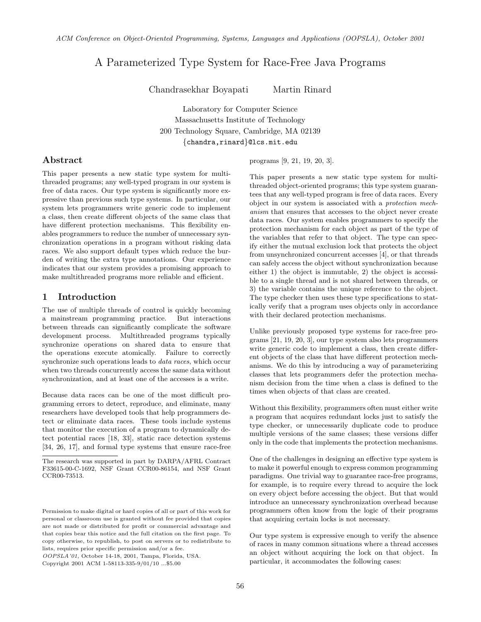# A Parameterized Type System for Race-Free Java Programs

Chandrasekhar Boyapati Martin Rinard

Laboratory for Computer Science Massachusetts Institute of Technology 200 Technology Square, Cambridge, MA 02139 {chandra,rinard}@lcs.mit.edu

# Abstract

This paper presents a new static type system for multithreaded programs; any well-typed program in our system is free of data races. Our type system is significantly more expressive than previous such type systems. In particular, our system lets programmers write generic code to implement a class, then create different objects of the same class that have different protection mechanisms. This flexibility enables programmers to reduce the number of unnecessary synchronization operations in a program without risking data races. We also support default types which reduce the burden of writing the extra type annotations. Our experience indicates that our system provides a promising approach to make multithreaded programs more reliable and efficient.

### 1 Introduction

The use of multiple threads of control is quickly becoming a mainstream programming practice. But interactions between threads can significantly complicate the software development process. Multithreaded programs typically synchronize operations on shared data to ensure that the operations execute atomically. Failure to correctly synchronize such operations leads to data races, which occur when two threads concurrently access the same data without synchronization, and at least one of the accesses is a write.

Because data races can be one of the most difficult programming errors to detect, reproduce, and eliminate, many researchers have developed tools that help programmers detect or eliminate data races. These tools include systems that monitor the execution of a program to dynamically detect potential races [18, 33], static race detection systems [34, 26, 17], and formal type systems that ensure race-free

OOPSLA'01, October 14-18, 2001, Tampa, Florida, USA. Copyright 2001 ACM 1-58113-335-9/01/10 ...\$5.00

programs [9, 21, 19, 20, 3].

This paper presents a new static type system for multithreaded object-oriented programs; this type system guarantees that any well-typed program is free of data races. Every object in our system is associated with a protection mechanism that ensures that accesses to the object never create data races. Our system enables programmers to specify the protection mechanism for each object as part of the type of the variables that refer to that object. The type can specify either the mutual exclusion lock that protects the object from unsynchronized concurrent accesses [4], or that threads can safely access the object without synchronization because either 1) the object is immutable, 2) the object is accessible to a single thread and is not shared between threads, or 3) the variable contains the unique reference to the object. The type checker then uses these type specifications to statically verify that a program uses objects only in accordance with their declared protection mechanisms.

Unlike previously proposed type systems for race-free programs [21, 19, 20, 3], our type system also lets programmers write generic code to implement a class, then create different objects of the class that have different protection mechanisms. We do this by introducing a way of parameterizing classes that lets programmers defer the protection mechanism decision from the time when a class is defined to the times when objects of that class are created.

Without this flexibility, programmers often must either write a program that acquires redundant locks just to satisfy the type checker, or unnecessarily duplicate code to produce multiple versions of the same classes; these versions differ only in the code that implements the protection mechanisms.

One of the challenges in designing an effective type system is to make it powerful enough to express common programming paradigms. One trivial way to guarantee race-free programs, for example, is to require every thread to acquire the lock on every object before accessing the object. But that would introduce an unnecessary synchronization overhead because programmers often know from the logic of their programs that acquiring certain locks is not necessary.

Our type system is expressive enough to verify the absence of races in many common situations where a thread accesses an object without acquiring the lock on that object. In particular, it accommodates the following cases:

The research was supported in part by DARPA/AFRL Contract F33615-00-C-1692, NSF Grant CCR00-86154, and NSF Grant CCR00-73513.

Permission to make digital or hard copies of all or part of this work for personal or classroom use is granted without fee provided that copies are not made or distributed for profit or commercial advantage and that copies bear this notice and the full citation on the first page. To copy otherwise, to republish, to post on servers or to redistribute to lists, requires prior specific permission and/or a fee.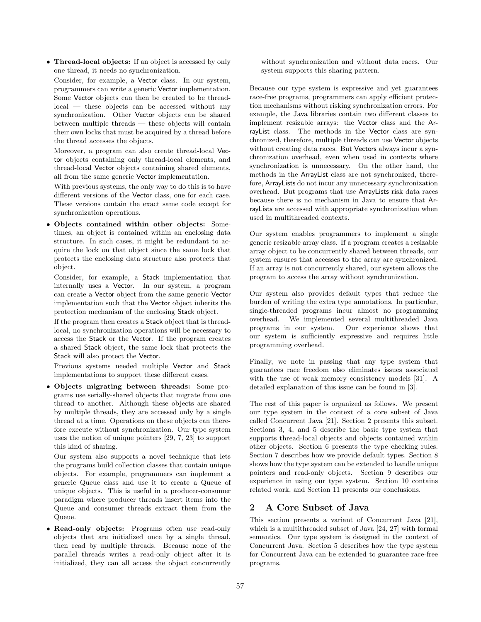• Thread-local objects: If an object is accessed by only one thread, it needs no synchronization.

Consider, for example, a Vector class. In our system, programmers can write a generic Vector implementation. Some Vector objects can then be created to be threadlocal — these objects can be accessed without any synchronization. Other Vector objects can be shared between multiple threads — these objects will contain their own locks that must be acquired by a thread before the thread accesses the objects.

Moreover, a program can also create thread-local Vector objects containing only thread-local elements, and thread-local Vector objects containing shared elements, all from the same generic Vector implementation.

With previous systems, the only way to do this is to have different versions of the Vector class, one for each case. These versions contain the exact same code except for synchronization operations.

• Objects contained within other objects: Sometimes, an object is contained within an enclosing data structure. In such cases, it might be redundant to acquire the lock on that object since the same lock that protects the enclosing data structure also protects that object.

Consider, for example, a Stack implementation that internally uses a Vector. In our system, a program can create a Vector object from the same generic Vector implementation such that the Vector object inherits the protection mechanism of the enclosing Stack object.

If the program then creates a Stack object that is threadlocal, no synchronization operations will be necessary to access the Stack or the Vector. If the program creates a shared Stack object, the same lock that protects the Stack will also protect the Vector.

Previous systems needed multiple Vector and Stack implementations to support these different cases.

• Objects migrating between threads: Some programs use serially-shared objects that migrate from one thread to another. Although these objects are shared by multiple threads, they are accessed only by a single thread at a time. Operations on these objects can therefore execute without synchronization. Our type system uses the notion of unique pointers [29, 7, 23] to support this kind of sharing.

Our system also supports a novel technique that lets the programs build collection classes that contain unique objects. For example, programmers can implement a generic Queue class and use it to create a Queue of unique objects. This is useful in a producer-consumer paradigm where producer threads insert items into the Queue and consumer threads extract them from the Queue.

• Read-only objects: Programs often use read-only objects that are initialized once by a single thread, then read by multiple threads. Because none of the parallel threads writes a read-only object after it is initialized, they can all access the object concurrently without synchronization and without data races. Our system supports this sharing pattern.

Because our type system is expressive and yet guarantees race-free programs, programmers can apply efficient protection mechanisms without risking synchronization errors. For example, the Java libraries contain two different classes to implement resizable arrays: the Vector class and the ArrayList class. The methods in the Vector class are synchronized, therefore, multiple threads can use Vector objects without creating data races. But Vectors always incur a synchronization overhead, even when used in contexts where synchronization is unnecessary. On the other hand, the methods in the ArrayList class are not synchronized, therefore, ArrayLists do not incur any unnecessary synchronization overhead. But programs that use ArrayLists risk data races because there is no mechanism in Java to ensure that ArrayLists are accessed with appropriate synchronization when used in multithreaded contexts.

Our system enables programmers to implement a single generic resizable array class. If a program creates a resizable array object to be concurrently shared between threads, our system ensures that accesses to the array are synchronized. If an array is not concurrently shared, our system allows the program to access the array without synchronization.

Our system also provides default types that reduce the burden of writing the extra type annotations. In particular, single-threaded programs incur almost no programming overhead. We implemented several multithreaded Java programs in our system. Our experience shows that our system is sufficiently expressive and requires little programming overhead.

Finally, we note in passing that any type system that guarantees race freedom also eliminates issues associated with the use of weak memory consistency models [31]. A detailed explanation of this issue can be found in [3].

The rest of this paper is organized as follows. We present our type system in the context of a core subset of Java called Concurrent Java [21]. Section 2 presents this subset. Sections 3, 4, and 5 describe the basic type system that supports thread-local objects and objects contained within other objects. Section 6 presents the type checking rules. Section 7 describes how we provide default types. Section 8 shows how the type system can be extended to handle unique pointers and read-only objects. Section 9 describes our experience in using our type system. Section 10 contains related work, and Section 11 presents our conclusions.

# 2 A Core Subset of Java

This section presents a variant of Concurrent Java [21], which is a multithreaded subset of Java [24, 27] with formal semantics. Our type system is designed in the context of Concurrent Java. Section 5 describes how the type system for Concurrent Java can be extended to guarantee race-free programs.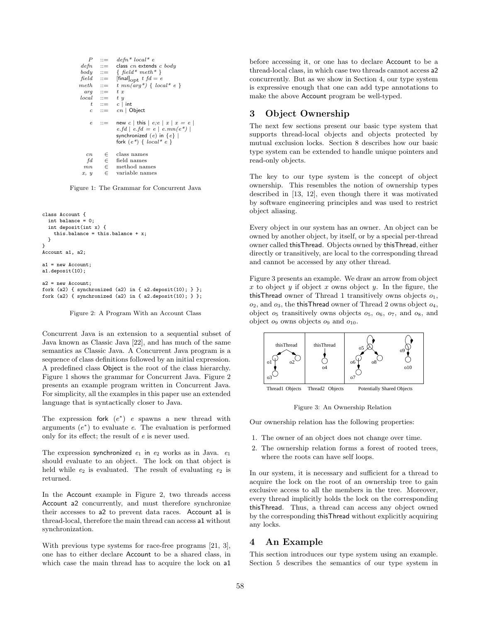| $\overline{P}$   | $::=$                     | $defn * local * e$                                                                                                                 |
|------------------|---------------------------|------------------------------------------------------------------------------------------------------------------------------------|
|                  | $defn ::=$                | class $cn$ extends $c$ body                                                                                                        |
|                  | $body \quad ::=$          | $\{field^*meth^*\}$                                                                                                                |
|                  | $field$ ::=               | [final] <sub>ODt</sub> $t f d = e$                                                                                                 |
| $meth \quad ::=$ |                           | $t$ mn(arg <sup>*</sup> ) { local <sup>*</sup> e }                                                                                 |
|                  | $arg :=$                  | t x                                                                                                                                |
|                  | $local ::= t y$           |                                                                                                                                    |
|                  |                           | $t$ ::= $c$ int                                                                                                                    |
|                  | $c \quad ::=$             | $cn$   Object                                                                                                                      |
| $\epsilon$       | $\mathbf{m} = \mathbf{m}$ | new c   this $\mid e, e \mid x \mid x = e \mid$<br>$e.fd \,   \, e.fd = e \,   \, e.mn(e^*) \,  $<br>synchronized $(e)$ in $\{e\}$ |
|                  |                           | fork $(e^*) \{ local^* e \}$                                                                                                       |
| cn<br>fd         |                           | $\in$ class names                                                                                                                  |
| mn               |                           | $\in$ field names<br>$\in$ method names                                                                                            |
| x, y             |                           | $\epsilon$ variable names                                                                                                          |

Figure 1: The Grammar for Concurrent Java

```
class Account {
  int balance = 0;
  int deposit(int x) {
    this.balance = this.balance + x;
  }
}
Account a1, a2;
a1 = new Account:
a1.deposit(10);
a^2 = new Account;
fork (a2) { synchronized (a2) in { a2.deposit(10); } };
fork (a2) { synchronized (a2) in { a2.deposit(10); } };
```
Figure 2: A Program With an Account Class

Concurrent Java is an extension to a sequential subset of Java known as Classic Java [22], and has much of the same semantics as Classic Java. A Concurrent Java program is a sequence of class definitions followed by an initial expression. A predefined class Object is the root of the class hierarchy. Figure 1 shows the grammar for Concurrent Java. Figure 2 presents an example program written in Concurrent Java. For simplicity, all the examples in this paper use an extended language that is syntactically closer to Java.

The expression fork  $(e^*)$  e spawns a new thread with arguments  $(e^*)$  to evaluate  $e$ . The evaluation is performed only for its effect; the result of e is never used.

The expression synchronized  $e_1$  in  $e_2$  works as in Java.  $e_1$ should evaluate to an object. The lock on that object is held while  $e_2$  is evaluated. The result of evaluating  $e_2$  is returned.

In the Account example in Figure 2, two threads access Account a2 concurrently, and must therefore synchronize their accesses to a2 to prevent data races. Account a1 is thread-local, therefore the main thread can access a1 without synchronization.

With previous type systems for race-free programs [21, 3], one has to either declare Account to be a shared class, in which case the main thread has to acquire the lock on a1 before accessing it, or one has to declare Account to be a thread-local class, in which case two threads cannot access a2 concurrently. But as we show in Section 4, our type system is expressive enough that one can add type annotations to make the above Account program be well-typed.

### 3 Object Ownership

The next few sections present our basic type system that supports thread-local objects and objects protected by mutual exclusion locks. Section 8 describes how our basic type system can be extended to handle unique pointers and read-only objects.

The key to our type system is the concept of object ownership. This resembles the notion of ownership types described in [13, 12], even though there it was motivated by software engineering principles and was used to restrict object aliasing.

Every object in our system has an owner. An object can be owned by another object, by itself, or by a special per-thread owner called thisThread. Objects owned by thisThread, either directly or transitively, are local to the corresponding thread and cannot be accessed by any other thread.

Figure 3 presents an example. We draw an arrow from object x to object y if object x owns object y. In the figure, the thisThread owner of Thread 1 transitively owns objects  $o_1$ ,  $o_2$ , and  $o_3$ , the thisThread owner of Thread 2 owns object  $o_4$ , object  $o_5$  transitively owns objects  $o_5$ ,  $o_6$ ,  $o_7$ , and  $o_8$ , and object  $o_9$  owns objects  $o_9$  and  $o_{10}$ .



Figure 3: An Ownership Relation

Our ownership relation has the following properties:

- 1. The owner of an object does not change over time.
- 2. The ownership relation forms a forest of rooted trees, where the roots can have self loops.

In our system, it is necessary and sufficient for a thread to acquire the lock on the root of an ownership tree to gain exclusive access to all the members in the tree. Moreover, every thread implicitly holds the lock on the corresponding thisThread. Thus, a thread can access any object owned by the corresponding thisThread without explicitly acquiring any locks.

### 4 An Example

This section introduces our type system using an example. Section 5 describes the semantics of our type system in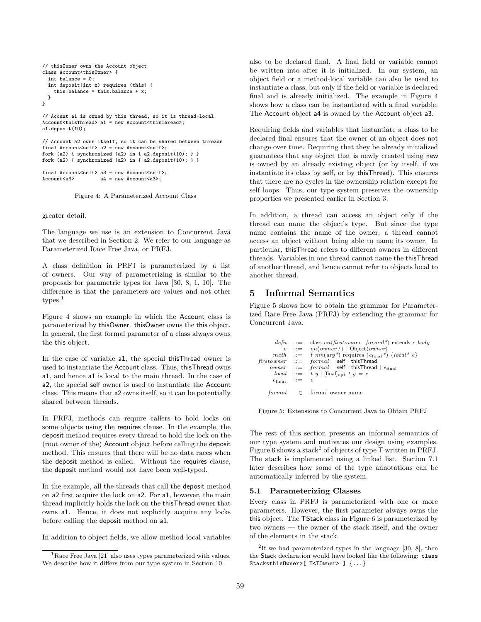```
// thisOwner owns the Account object
class Account<thisOwner> {
  int balance = 0;
  int deposit(int x) requires (this) {
   this.balance = this.balance + x;
 }
}
// Acount a1 is owned by this thread, so it is thread-local
Account<thisThread> a1 = new Account<thisThread>;
a1.deposit(10);
// Account a2 owns itself, so it can be shared between threads
final Account<self> a2 = new Account<self>;
fork (a2) { synchronized (a2) in { a2.deposit(10); } }
fork (a2) { synchronized (a2) in { a2.deposit(10); } }
```

```
final Account<self> a3 = new Account<self>;
Account<a3> a4 = new Account<a3>;
```


greater detail.

The language we use is an extension to Concurrent Java that we described in Section 2. We refer to our language as Parameterized Race Free Java, or PRFJ.

A class definition in PRFJ is parameterized by a list of owners. Our way of parameterizing is similar to the proposals for parametric types for Java [30, 8, 1, 10]. The difference is that the parameters are values and not other types.<sup>1</sup>

Figure 4 shows an example in which the Account class is parameterized by thisOwner. thisOwner owns the this object. In general, the first formal parameter of a class always owns the this object.

In the case of variable a1, the special thisThread owner is used to instantiate the Account class. Thus, thisThread owns a1, and hence a1 is local to the main thread. In the case of a2, the special self owner is used to instantiate the Account class. This means that a2 owns itself, so it can be potentially shared between threads.

In PRFJ, methods can require callers to hold locks on some objects using the requires clause. In the example, the deposit method requires every thread to hold the lock on the (root owner of the) Account object before calling the deposit method. This ensures that there will be no data races when the deposit method is called. Without the requires clause, the deposit method would not have been well-typed.

In the example, all the threads that call the deposit method on a2 first acquire the lock on a2. For a1, however, the main thread implicitly holds the lock on the thisThread owner that owns a1. Hence, it does not explicitly acquire any locks before calling the deposit method on a1.

In addition to object fields, we allow method-local variables

also to be declared final. A final field or variable cannot be written into after it is initialized. In our system, an object field or a method-local variable can also be used to instantiate a class, but only if the field or variable is declared final and is already initialized. The example in Figure 4 shows how a class can be instantiated with a final variable. The Account object a4 is owned by the Account object a3.

Requiring fields and variables that instantiate a class to be declared final ensures that the owner of an object does not change over time. Requiring that they be already initialized guarantees that any object that is newly created using new is owned by an already existing object (or by itself, if we instantiate its class by self, or by thisThread). This ensures that there are no cycles in the ownership relation except for self loops. Thus, our type system preserves the ownership properties we presented earlier in Section 3.

In addition, a thread can access an object only if the thread can name the object's type. But since the type name contains the name of the owner, a thread cannot access an object without being able to name its owner. In particular, thisThread refers to different owners in different threads. Variables in one thread cannot name the thisThread of another thread, and hence cannot refer to objects local to another thread.

# 5 Informal Semantics

Figure 5 shows how to obtain the grammar for Parameterized Race Free Java (PRFJ) by extending the grammar for Concurrent Java.

```
defn ::= class cn\frac{firstowner}{format*} extends c bodyc ::= cn\langle owner \rangle | Object\langle owner \ranglemeth  ::= t mn(arg*) requires (e_{final}^*) {local* e}<br>firstcouner  ::= formal | self | thisThread
\begin{array}{rcl} \textit{firstowner} & ::= & \textit{formal} & | \text{ self} & | \text{ thisThread} \\ \textit{owner} & ::= & \textit{formal} & | \text{ self} & | \text{ thisThread} & | \text{ e}_{\text{final}} \end{array}local ::= t y | [final]<sub>opt</sub> t y = e
          e_{\text{final}} ::= eformula \in formal owner name
```
Figure 5: Extensions to Concurrent Java to Obtain PRFJ

The rest of this section presents an informal semantics of our type system and motivates our design using examples. Figure 6 shows a stack<sup>2</sup> of objects of type  $\mathsf T$  written in PRFJ. The stack is implemented using a linked list. Section 7.1 later describes how some of the type annotations can be automatically inferred by the system.

### 5.1 Parameterizing Classes

Every class in PRFJ is parameterized with one or more parameters. However, the first parameter always owns the this object. The TStack class in Figure 6 is parameterized by two owners — the owner of the stack itself, and the owner of the elements in the stack.

<sup>&</sup>lt;sup>1</sup>Race Free Java [21] also uses types parameterized with values. We describe how it differs from our type system in Section 10.

<sup>&</sup>lt;sup>2</sup>If we had parameterized types in the language [30, 8], then the Stack declaration would have looked like the following: class Stack<thisOwner>[ T<TOwner> ] {...}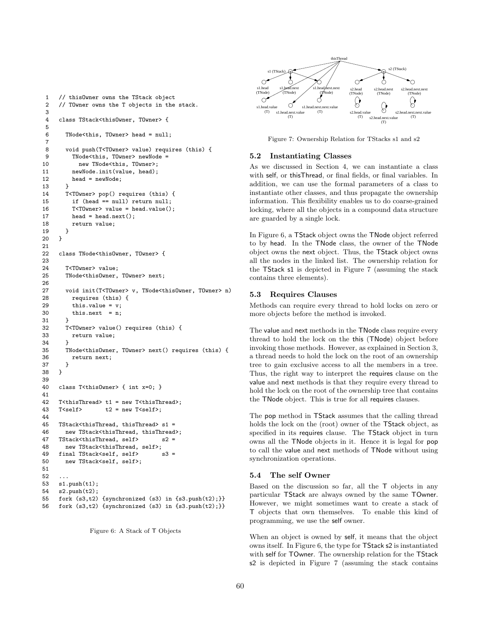```
1 // thisOwner owns the TStack object
2 // TOwner owns the T objects in the stack.
3
4 class TStack<thisOwner, TOwner> {
5
6 TNode<this, TOwner> head = null;
7
8 void push(T<TOwner> value) requires (this) {
9 TNode<this, TOwner> newNode =
10 new TNode<this, TOwner>;
11 newNode.init(value, head);
12 head = newNode;
13 }
14 T<TOwner> pop() requires (this) {
15 if (head == null) return null;
16 T<TOwner> value = head.value();
17 head = head.next();
18 return value;
19 }
20 }
21
22 class TNode<thisOwner, TOwner> {
23
24 T<TOwner> value;
25 TNode<thisOwner, TOwner> next;
26
27 void init(T<TOwner> v, TNode<thisOwner, TOwner> n)
28 requires (this) {
29 this.value = v:
30 this.next = n;
31 \quad \frac{3}{2}32 T<TOwner> value() requires (this) {
33 return value;
34 }
35 TNode<thisOwner, TOwner> next() requires (this) {
36 return next;
37 }
38 }
39
40 class T<thisOwner> { int x=0; }
41
42 T<thisThread> t1 = new T<thisThread>;
43 T<self> t2 = new T<self>;
44
45 TStack<thisThread, thisThread> s1 =
46 new TStack<thisThread, thisThread>;
47 TStack<thisThread, self> s2 =
48 new TStack<thisThread, self>;
49 final TStack<self, self> s3 =
50 new TStack<self, self>;
51
52 ...
53 s1.push(t1);
54 s2.push(t2);
55 fork (s3,t2) {synchronized (s3) in {s3.push(t2);}}
56 fork (s3,t2) {synchronized (s3) in {s3.push(t2);}}
```




Figure 7: Ownership Relation for TStacks s1 and s2

#### 5.2 Instantiating Classes

As we discussed in Section 4, we can instantiate a class with self, or thisThread, or final fields, or final variables. In addition, we can use the formal parameters of a class to instantiate other classes, and thus propagate the ownership information. This flexibility enables us to do coarse-grained locking, where all the objects in a compound data structure are guarded by a single lock.

In Figure 6, a TStack object owns the TNode object referred to by head. In the TNode class, the owner of the TNode object owns the next object. Thus, the TStack object owns all the nodes in the linked list. The ownership relation for the TStack s1 is depicted in Figure 7 (assuming the stack contains three elements).

#### 5.3 Requires Clauses

Methods can require every thread to hold locks on zero or more objects before the method is invoked.

The value and next methods in the TNode class require every thread to hold the lock on the this (TNode) object before invoking those methods. However, as explained in Section 3, a thread needs to hold the lock on the root of an ownership tree to gain exclusive access to all the members in a tree. Thus, the right way to interpret the requires clause on the value and next methods is that they require every thread to hold the lock on the root of the ownership tree that contains the TNode object. This is true for all requires clauses.

The pop method in TStack assumes that the calling thread holds the lock on the (root) owner of the TStack object, as specified in its requires clause. The TStack object in turn owns all the TNode objects in it. Hence it is legal for pop to call the value and next methods of TNode without using synchronization operations.

#### 5.4 The self Owner

Based on the discussion so far, all the T objects in any particular TStack are always owned by the same TOwner. However, we might sometimes want to create a stack of T objects that own themselves. To enable this kind of programming, we use the self owner.

When an object is owned by self, it means that the object owns itself. In Figure 6, the type for TStack s2 is instantiated with self for TOwner. The ownership relation for the TStack s2 is depicted in Figure 7 (assuming the stack contains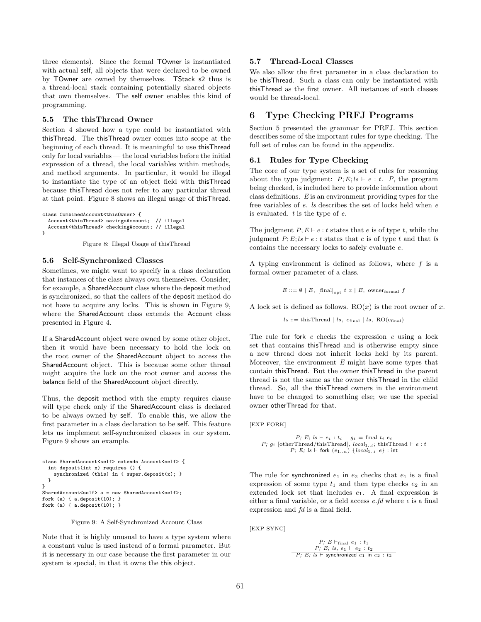three elements). Since the formal TOwner is instantiated with actual self, all objects that were declared to be owned by TOwner are owned by themselves. TStack s2 thus is a thread-local stack containing potentially shared objects that own themselves. The self owner enables this kind of programming.

#### 5.5 The thisThread Owner

Section 4 showed how a type could be instantiated with thisThread. The thisThread owner comes into scope at the beginning of each thread. It is meaningful to use thisThread only for local variables — the local variables before the initial expression of a thread, the local variables within methods, and method arguments. In particular, it would be illegal to instantiate the type of an object field with thisThread because thisThread does not refer to any particular thread at that point. Figure 8 shows an illegal usage of thisThread.

```
class CombinedAccount<thisOwner> {
  Account<thisThread> savingsAccount: // illegal
  Account<thisThread> checkingAccount; // illegal
}
```
Figure 8: Illegal Usage of thisThread

#### 5.6 Self-Synchronized Classes

Sometimes, we might want to specify in a class declaration that instances of the class always own themselves. Consider, for example, a SharedAccount class where the deposit method is synchronized, so that the callers of the deposit method do not have to acquire any locks. This is shown in Figure 9, where the SharedAccount class extends the Account class presented in Figure 4.

If a SharedAccount object were owned by some other object, then it would have been necessary to hold the lock on the root owner of the SharedAccount object to access the SharedAccount object. This is because some other thread might acquire the lock on the root owner and access the balance field of the SharedAccount object directly.

Thus, the deposit method with the empty requires clause will type check only if the SharedAccount class is declared to be always owned by self. To enable this, we allow the first parameter in a class declaration to be self. This feature lets us implement self-synchronized classes in our system. Figure 9 shows an example.

```
class SharedAccount<self> extends Account<self> {
  int deposit(int x) requires () {
    synchronized (this) in { super.deposit(x); }
 }
}
SharedAccount<self> a = new SharedAccount<self>;
fork (a) { a.deposit(10); }
fork (a) { a.deposit(10); }
```
Figure 9: A Self-Synchronized Account Class

Note that it is highly unusual to have a type system where a constant value is used instead of a formal parameter. But it is necessary in our case because the first parameter in our system is special, in that it owns the this object.

#### 5.7 Thread-Local Classes

We also allow the first parameter in a class declaration to be thisThread. Such a class can only be instantiated with thisThread as the first owner. All instances of such classes would be thread-local.

### 6 Type Checking PRFJ Programs

Section 5 presented the grammar for PRFJ. This section describes some of the important rules for type checking. The full set of rules can be found in the appendix.

### 6.1 Rules for Type Checking

The core of our type system is a set of rules for reasoning about the type judgment:  $P; E; ls \vdash e : t$ . P, the program being checked, is included here to provide information about class definitions. E is an environment providing types for the free variables of e. ls describes the set of locks held when e is evaluated.  $t$  is the type of  $e$ .

The judgment  $P; E \vdash e : t$  states that e is of type t, while the judgment  $P; E; ls \vdash e : t$  states that e is of type t and that ls contains the necessary locks to safely evaluate e.

A typing environment is defined as follows, where  $f$  is a formal owner parameter of a class.

$$
E ::= \emptyset \mid E, \text{ [final]}_{\text{opt}} t x \mid E, \text{ owner}_{\text{formal}} f
$$

A lock set is defined as follows.  $RO(x)$  is the root owner of x.

 $ls ::=$  thisThread  $| ls, e<sub>final</sub> | ls, RO(e<sub>final</sub>)$ 

The rule for fork  $e$  checks the expression  $e$  using a lock set that contains thisThread and is otherwise empty since a new thread does not inherit locks held by its parent. Moreover, the environment  $E$  might have some types that contain thisThread. But the owner thisThread in the parent thread is not the same as the owner thisThread in the child thread. So, all the thisThread owners in the environment have to be changed to something else; we use the special owner otherThread for that.

[EXP FORK]

P; 
$$
B
$$
;  $ls \vdash e_i : t_i$   $g_i = \text{final } t_i \ e_i$   $P$ ;  $g_i$  [otherThread/thisThread],  $local_{1..l}$ ; thisThread  $\vdash e : t$   $P$ ;  $E$ ;  $ls \vdash$  fork  $(e_{1..n})$   $\{local_{1..l} \ e\}$  : int

The rule for synchronized  $e_1$  in  $e_2$  checks that  $e_1$  is a final expression of some type  $t_1$  and then type checks  $e_2$  in an extended lock set that includes  $e_1$ . A final expression is either a final variable, or a field access e.fd where e is a final expression and  $fd$  is a final field.

[EXP SYNC]

$$
\begin{array}{c}\nP; E \vdash_{\text{final}} e_1 : t_1 \\
\hline\nP; E; ls, e_1 \vdash e_2 : t_2 \\
\hline\nP; E; ls \vdash \text{synchronized } e_1 \text{ in } e_2 : t_2\n\end{array}
$$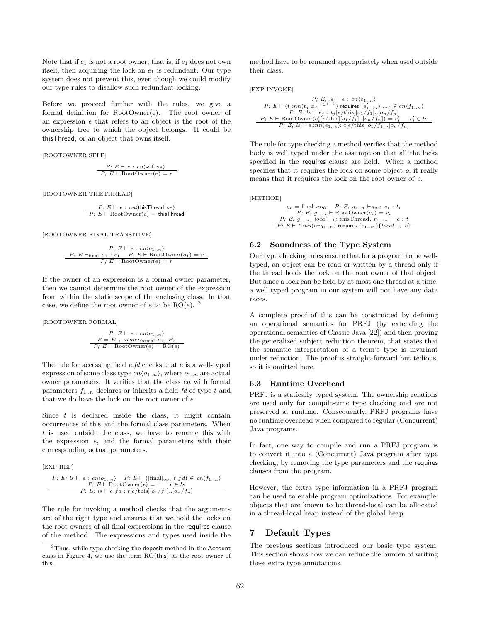Note that if  $e_1$  is not a root owner, that is, if  $e_1$  does not own itself, then acquiring the lock on  $e_1$  is redundant. Our type system does not prevent this, even though we could modify our type rules to disallow such redundant locking.

Before we proceed further with the rules, we give a formal definition for RootOwner(e). The root owner of an expression e that refers to an object is the root of the ownership tree to which the object belongs. It could be thisThread, or an object that owns itself.

[ROOTOWNER SELF]

$$
\frac{P; E \vdash e : cn\langle \text{self } o * \rangle}{P; E \vdash \text{RootOwner}(e) = e}
$$

[ROOTOWNER THISTHREAD]

$$
\frac{P; \ E \vdash e : cn\langle \text{thisThread } o*\rangle}{P; \ E \vdash \text{RootOwner}(e) = \text{thisThread}}
$$

[ROOTOWNER FINAL TRANSITIVE]

$$
P; E \vdash e : cn\langle o_{1..n} \rangle
$$
  
\n
$$
\underbrace{P; E \vdash_{\text{final}} o_1 : c_1 \quad P; E \vdash \text{RootOwner}(o_1) = r}_{P; E \vdash \text{RootOwner}(e) = r}
$$

If the owner of an expression is a formal owner parameter, then we cannot determine the root owner of the expression from within the static scope of the enclosing class. In that case, we define the root owner of e to be  $RO(e)$ . <sup>3</sup>

[ROOTOWNER FORMAL]

$$
P; E \vdash e : cn\langle o_{1..n} \rangle
$$
  
\n
$$
E = E_1, \text{ ourerformal } o_1, E_2
$$
  
\n
$$
P; E \vdash \text{RootOwner}(e) = \text{RO}(e)
$$

The rule for accessing field  $e$ . *fd* checks that  $e$  is a well-typed expression of some class type  $cn\langle o_{1..n}\rangle$ , where  $o_{1..n}$  are actual owner parameters. It verifies that the class  $cn$  with formal parameters  $f_{1..n}$  declares or inherits a field fd of type t and that we do have the lock on the root owner of e.

Since  $t$  is declared inside the class, it might contain occurrences of this and the formal class parameters. When t is used outside the class, we have to rename this with the expression e, and the formal parameters with their corresponding actual parameters.

$$
[EXP REF]
$$
  
\n $P; E; ls \vdash e : cn\langle o_{1..n} \rangle \quad P; E \vdash ([final]_{opt} t f d) \in cn\langle f_{1..n} \rangle$   
\n $P; E \vdash RootOwner(e) = r \quad r \in ls$   
\n $P; E; ls \vdash e.fd : t[e/this][o_1/f_1)..[o_n/f_n]$ 

The rule for invoking a method checks that the arguments are of the right type and ensures that we hold the locks on the root owners of all final expressions in the requires clause of the method. The expressions and types used inside the

method have to be renamed appropriately when used outside their class.

[EXP INVOKE]

$$
P; E; l s \vdash e : cn \langle o_{1..n} \rangle
$$
  
\n
$$
P; E \vdash (t \ mn(t_j \ x_j \ j \in 1..k) \text{ requires } (e'_{1..n}) \dots) \in cn \langle f_{1..n} \rangle
$$
  
\n
$$
P; E; l s \vdash e_j : t_j [e/his][o_1/f_1].[o_n/f_n]
$$
  
\n
$$
P; E \vdash RootOwner(e'_i[e/his][o_1/f_1].[o_n/f_n]) = r'_i \quad r'_i \in ls
$$
  
\n
$$
P; E; l s \vdash e.mn(e_{1..k}): t[e/his][o_1/f_1].[o_n/f_n]
$$

The rule for type checking a method verifies that the method body is well typed under the assumption that all the locks specified in the requires clause are held. When a method specifies that it requires the lock on some object  $o$ , it really means that it requires the lock on the root owner of o.

[METHOD]

$$
g_i = \text{final } arg_i \quad P; E, \ g_{1..n} \vdash_{\text{final}} e_i : t_i
$$

$$
P; E, \ g_{1..n} \vdash \text{RootOwner}(e_i) = r_i
$$

$$
P; E, \ g_{1..n}, \ local_{1..l}; \ \text{thisThread}, \ r_{1..m} \vdash e : t
$$

$$
P; E \vdash t \ mn(\arg_{1..n}) \ \text{requires } (e_{1..m}) {\{local_{1..l} e\}}
$$

#### 6.2 Soundness of the Type System

Our type checking rules ensure that for a program to be welltyped, an object can be read or written by a thread only if the thread holds the lock on the root owner of that object. But since a lock can be held by at most one thread at a time, a well typed program in our system will not have any data races.

A complete proof of this can be constructed by defining an operational semantics for PRFJ (by extending the operational semantics of Classic Java [22]) and then proving the generalized subject reduction theorem, that states that the semantic interpretation of a term's type is invariant under reduction. The proof is straight-forward but tedious, so it is omitted here.

#### 6.3 Runtime Overhead

PRFJ is a statically typed system. The ownership relations are used only for compile-time type checking and are not preserved at runtime. Consequently, PRFJ programs have no runtime overhead when compared to regular (Concurrent) Java programs.

In fact, one way to compile and run a PRFJ program is to convert it into a (Concurrent) Java program after type checking, by removing the type parameters and the requires clauses from the program.

However, the extra type information in a PRFJ program can be used to enable program optimizations. For example, objects that are known to be thread-local can be allocated in a thread-local heap instead of the global heap.

### 7 Default Types

The previous sections introduced our basic type system. This section shows how we can reduce the burden of writing these extra type annotations.

<sup>&</sup>lt;sup>3</sup>Thus, while type checking the deposit method in the Account class in Figure 4, we use the term RO(this) as the root owner of this.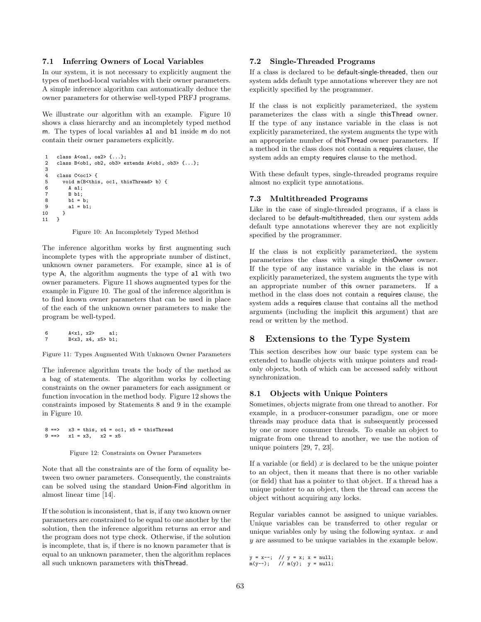#### 7.1 Inferring Owners of Local Variables

In our system, it is not necessary to explicitly augment the types of method-local variables with their owner parameters. A simple inference algorithm can automatically deduce the owner parameters for otherwise well-typed PRFJ programs.

We illustrate our algorithm with an example. Figure 10 shows a class hierarchy and an incompletely typed method m. The types of local variables a1 and b1 inside m do not contain their owner parameters explicitly.

```
1 class A<oa1, oa2> {...};
2 class B<ob1, ob2, ob3> extends A<ob1, ob3> {...};
3
    class C<oc1> {
5 void m(B<this, oc1, thisThread> b) {
6 A a1;
7 B b1;
8 b1 = b;<br>9 a1 = b1
        a1 = b1;10 }
11 }
```
Figure 10: An Incompletely Typed Method

The inference algorithm works by first augmenting such incomplete types with the appropriate number of distinct, unknown owner parameters. For example, since a1 is of type A, the algorithm augments the type of a1 with two owner parameters. Figure 11 shows augmented types for the example in Figure 10. The goal of the inference algorithm is to find known owner parameters that can be used in place of the each of the unknown owner parameters to make the program be well-typed.

```
6 A<x1, x2> a1;
7 B<x3, x4, x5> b1;
```
Figure 11: Types Augmented With Unknown Owner Parameters

The inference algorithm treats the body of the method as a bag of statements. The algorithm works by collecting constraints on the owner parameters for each assignment or function invocation in the method body. Figure 12 shows the constraints imposed by Statements 8 and 9 in the example in Figure 10.

 $8 ==& x3 = this, x4 = oc1, x5 = thisThread$ <br>  $9 ==& x1 = x3, x2 = x5$  $x1 = x3$ ,  $x2 = x5$ 

Figure 12: Constraints on Owner Parameters

Note that all the constraints are of the form of equality between two owner parameters. Consequently, the constraints can be solved using the standard Union-Find algorithm in almost linear time [14].

If the solution is inconsistent, that is, if any two known owner parameters are constrained to be equal to one another by the solution, then the inference algorithm returns an error and the program does not type check. Otherwise, if the solution is incomplete, that is, if there is no known parameter that is equal to an unknown parameter, then the algorithm replaces all such unknown parameters with thisThread.

### 7.2 Single-Threaded Programs

If a class is declared to be default-single-threaded, then our system adds default type annotations wherever they are not explicitly specified by the programmer.

If the class is not explicitly parameterized, the system parameterizes the class with a single thisThread owner. If the type of any instance variable in the class is not explicitly parameterized, the system augments the type with an appropriate number of thisThread owner parameters. If a method in the class does not contain a requires clause, the system adds an empty requires clause to the method.

With these default types, single-threaded programs require almost no explicit type annotations.

### 7.3 Multithreaded Programs

Like in the case of single-threaded programs, if a class is declared to be default-multithreaded, then our system adds default type annotations wherever they are not explicitly specified by the programmer.

If the class is not explicitly parameterized, the system parameterizes the class with a single thisOwner owner. If the type of any instance variable in the class is not explicitly parameterized, the system augments the type with an appropriate number of this owner parameters. If a method in the class does not contain a requires clause, the system adds a requires clause that contains all the method arguments (including the implicit this argument) that are read or written by the method.

# 8 Extensions to the Type System

This section describes how our basic type system can be extended to handle objects with unique pointers and readonly objects, both of which can be accessed safely without synchronization.

### 8.1 Objects with Unique Pointers

Sometimes, objects migrate from one thread to another. For example, in a producer-consumer paradigm, one or more threads may produce data that is subsequently processed by one or more consumer threads. To enable an object to migrate from one thread to another, we use the notion of unique pointers [29, 7, 23].

If a variable (or field)  $x$  is declared to be the unique pointer to an object, then it means that there is no other variable (or field) that has a pointer to that object. If a thread has a unique pointer to an object, then the thread can access the object without acquiring any locks.

Regular variables cannot be assigned to unique variables. Unique variables can be transferred to other regular or unique variables only by using the following syntax.  $x$  and y are assumed to be unique variables in the example below.

```
y = x--; // y = x; x = null;<br>m(y--); // m(y); y = null;
```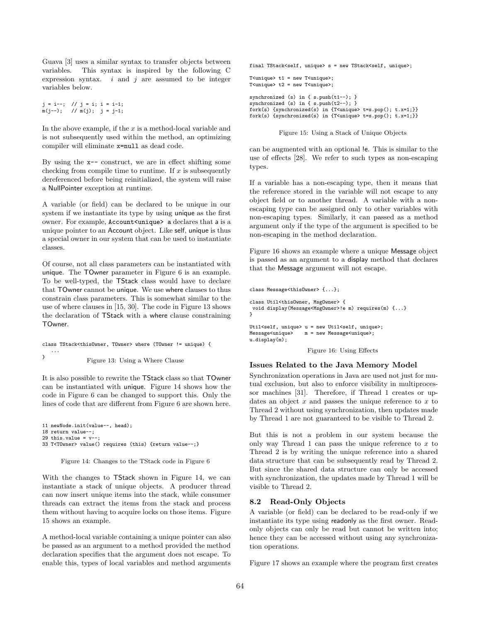Guava [3] uses a similar syntax to transfer objects between variables. This syntax is inspired by the following C expression syntax.  $i$  and  $j$  are assumed to be integer variables below.

```
j = i - ; \t // j = i; i = i-1;m(j--); // m(j); j = j-1;
```
In the above example, if the  $x$  is a method-local variable and is not subsequently used within the method, an optimizing compiler will eliminate x=null as dead code.

By using the  $x$ -- construct, we are in effect shifting some checking from compile time to runtime. If  $x$  is subsequently dereferenced before being reinitialized, the system will raise a NullPointer exception at runtime.

A variable (or field) can be declared to be unique in our system if we instantiate its type by using unique as the first owner. For example, Account<unique> a declares that a is a unique pointer to an Account object. Like self, unique is thus a special owner in our system that can be used to instantiate classes.

Of course, not all class parameters can be instantiated with unique. The TOwner parameter in Figure 6 is an example. To be well-typed, the TStack class would have to declare that TOwner cannot be unique. We use where clauses to thus constrain class parameters. This is somewhat similar to the use of where clauses in [15, 30]. The code in Figure 13 shows the declaration of TStack with a where clause constraining TOwner.

class TStack<thisOwner, TOwner> where (TOwner != unique) { ... } Figure 13: Using a Where Clause

It is also possible to rewrite the TStack class so that TOwner can be instantiated with unique. Figure 14 shows how the code in Figure 6 can be changed to support this. Only the lines of code that are different from Figure 6 are shown here.

```
11 newNode.init(value--, head);
18 return value--;
29 this.value = v--
33 T<TOwner> value() requires (this) {return value--;}
```
Figure 14: Changes to the TStack code in Figure 6

With the changes to TStack shown in Figure 14, we can instantiate a stack of unique objects. A producer thread can now insert unique items into the stack, while consumer threads can extract the items from the stack and process them without having to acquire locks on those items. Figure 15 shows an example.

A method-local variable containing a unique pointer can also be passed as an argument to a method provided the method declaration specifies that the argument does not escape. To enable this, types of local variables and method arguments final TStack<self, unique> s = new TStack<self, unique>; T<unique> t1 = new T<unique>; T<unique> t2 = new T<unique>; synchronized (s) in { s.push(t1--); } synchronized (s) in { s.push(t2--); } fork(s) {synchronized(s) in {T<unique> t=s.pop(); t.x=1;}} fork(s) {synchronized(s) in {T<unique> t=s.pop(); t.x=1;}}

Figure 15: Using a Stack of Unique Objects

can be augmented with an optional !e. This is similar to the use of effects [28]. We refer to such types as non-escaping types.

If a variable has a non-escaping type, then it means that the reference stored in the variable will not escape to any object field or to another thread. A variable with a nonescaping type can be assigned only to other variables with non-escaping types. Similarly, it can passed as a method argument only if the type of the argument is specified to be non-escaping in the method declaration.

Figure 16 shows an example where a unique Message object is passed as an argument to a display method that declares that the Message argument will not escape.

```
class Message<thisOwner> {...};
class Util<thisOwner, MsgOwner> {
void display(Message<MsgOwner>!e m) requires(m) {...}
}
Util<self, unique> u = new Util<self, unique>;
Message<unique> m = new Message<unique>;
u.display(m);
```
Figure 16: Using Effects

#### Issues Related to the Java Memory Model

Synchronization operations in Java are used not just for mutual exclusion, but also to enforce visibility in multiprocessor machines [31]. Therefore, if Thread 1 creates or updates an object  $x$  and passes the unique reference to  $x$  to Thread 2 without using synchronization, then updates made by Thread 1 are not guaranteed to be visible to Thread 2.

But this is not a problem in our system because the only way Thread 1 can pass the unique reference to  $x$  to Thread 2 is by writing the unique reference into a shared data structure that can be subsequently read by Thread 2. But since the shared data structure can only be accessed with synchronization, the updates made by Thread 1 will be visible to Thread 2.

### 8.2 Read-Only Objects

A variable (or field) can be declared to be read-only if we instantiate its type using readonly as the first owner. Readonly objects can only be read but cannot be written into; hence they can be accessed without using any synchronization operations.

Figure 17 shows an example where the program first creates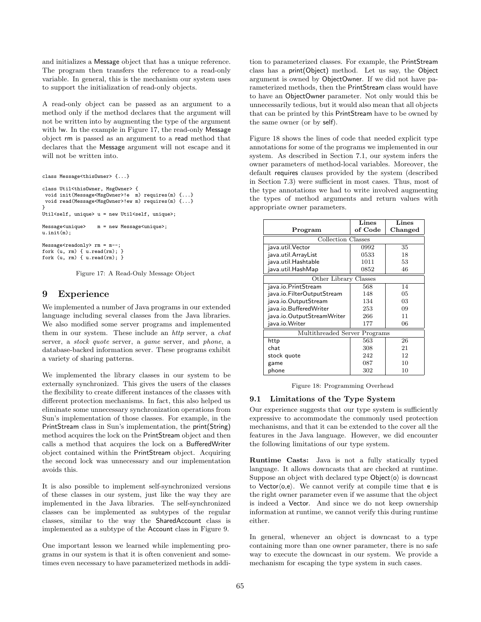and initializes a Message object that has a unique reference. The program then transfers the reference to a read-only variable. In general, this is the mechanism our system uses to support the initialization of read-only objects.

A read-only object can be passed as an argument to a method only if the method declares that the argument will not be written into by augmenting the type of the argument with !w. In the example in Figure 17, the read-only Message object rm is passed as an argument to a read method that declares that the Message argument will not escape and it will not be written into.

```
class Message<thisOwner> {...}
```

```
class Util<thisOwner, MsgOwner> {
 void init(Message<MsgOwner>!e m) requires(m) {...}
void read(Message<MsgOwner>!ew m) requires(m) {...}
}
Util<self, unique> u = new Util<self, unique>;
Message<unique> m = new Message<unique>;
u.init(m):
Message<readonly> rm = m--:
fork (u, rm) { u.read(rm); }
fork (u, rm) { u.read(rm); }
```
Figure 17: A Read-Only Message Object

### 9 Experience

We implemented a number of Java programs in our extended language including several classes from the Java libraries. We also modified some server programs and implemented them in our system. These include an http server, a chat server, a stock quote server, a game server, and phone, a database-backed information sever. These programs exhibit a variety of sharing patterns.

We implemented the library classes in our system to be externally synchronized. This gives the users of the classes the flexibility to create different instances of the classes with different protection mechanisms. In fact, this also helped us eliminate some unnecessary synchronization operations from Sun's implementation of those classes. For example, in the PrintStream class in Sun's implementation, the print(String) method acquires the lock on the PrintStream object and then calls a method that acquires the lock on a BufferedWriter object contained within the PrintStream object. Acquiring the second lock was unnecessary and our implementation avoids this.

It is also possible to implement self-synchronized versions of these classes in our system, just like the way they are implemented in the Java libraries. The self-synchronized classes can be implemented as subtypes of the regular classes, similar to the way the SharedAccount class is implemented as a subtype of the Account class in Figure 9.

One important lesson we learned while implementing programs in our system is that it is often convenient and sometimes even necessary to have parameterized methods in addi-

tion to parameterized classes. For example, the PrintStream class has a print(Object) method. Let us say, the Object argument is owned by ObjectOwner. If we did not have parameterized methods, then the PrintStream class would have to have an ObjectOwner parameter. Not only would this be unnecessarily tedious, but it would also mean that all objects that can be printed by this PrintStream have to be owned by the same owner (or by self).

Figure 18 shows the lines of code that needed explicit type annotations for some of the programs we implemented in our system. As described in Section 7.1, our system infers the owner parameters of method-local variables. Moreover, the default requires clauses provided by the system (described in Section 7.3) were sufficient in most cases. Thus, most of the type annotations we had to write involved augmenting the types of method arguments and return values with appropriate owner parameters.

|                               | Lines   | Lines   |  |  |
|-------------------------------|---------|---------|--|--|
| Program                       | of Code | Changed |  |  |
| Collection Classes            |         |         |  |  |
| java.util. Vector             | 0992    | 35      |  |  |
| java.util.ArrayList           | 0533    | 18      |  |  |
| java.util.Hashtable           | 1011    | 53      |  |  |
| java.util.HashMap             | 0852    | 46      |  |  |
| Other Library Classes         |         |         |  |  |
| java.io.PrintStream           | 568     | 14      |  |  |
| java.io.FilterOutputStream    | 148     | 05      |  |  |
| java.io.OutputStream          | 134     | 03      |  |  |
| java.io.BufferedWriter        | 253     | 09      |  |  |
| java.io.OutputStreamWriter    | 266     | 11      |  |  |
| java.io.Writer                | 177     | 06      |  |  |
| Multithreaded Server Programs |         |         |  |  |
| http                          | 563     | 26      |  |  |
| chat                          | 308     | 21      |  |  |
| stock quote                   | 242     | 12      |  |  |
| game                          | 087     | 10      |  |  |
| phone                         | 302     | 10      |  |  |

Figure 18: Programming Overhead

#### 9.1 Limitations of the Type System

Our experience suggests that our type system is sufficiently expressive to accommodate the commonly used protection mechanisms, and that it can be extended to the cover all the features in the Java language. However, we did encounter the following limitations of our type system.

Runtime Casts: Java is not a fully statically typed language. It allows downcasts that are checked at runtime. Suppose an object with declared type  $Object\langle o \rangle$  is downcast to Vector $\langle o, e \rangle$ . We cannot verify at compile time that e is the right owner parameter even if we assume that the object is indeed a Vector. And since we do not keep ownership information at runtime, we cannot verify this during runtime either.

In general, whenever an object is downcast to a type containing more than one owner parameter, there is no safe way to execute the downcast in our system. We provide a mechanism for escaping the type system in such cases.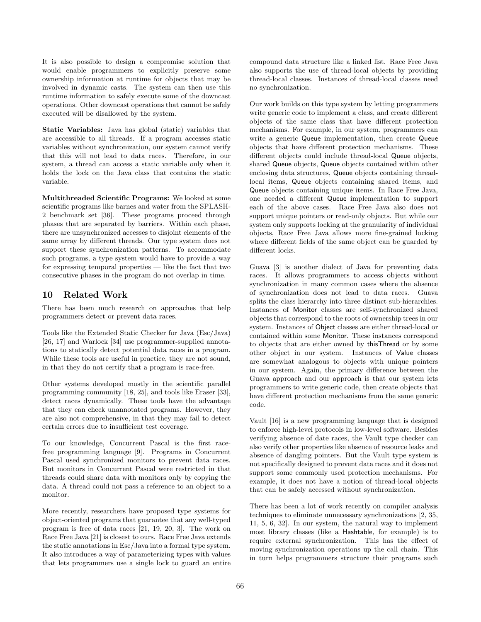It is also possible to design a compromise solution that would enable programmers to explicitly preserve some ownership information at runtime for objects that may be involved in dynamic casts. The system can then use this runtime information to safely execute some of the downcast operations. Other downcast operations that cannot be safely executed will be disallowed by the system.

Static Variables: Java has global (static) variables that are accessible to all threads. If a program accesses static variables without synchronization, our system cannot verify that this will not lead to data races. Therefore, in our system, a thread can access a static variable only when it holds the lock on the Java class that contains the static variable.

Multithreaded Scientific Programs: We looked at some scientific programs like barnes and water from the SPLASH-2 benchmark set [36]. These programs proceed through phases that are separated by barriers. Within each phase, there are unsynchronized accesses to disjoint elements of the same array by different threads. Our type system does not support these synchronization patterns. To accommodate such programs, a type system would have to provide a way for expressing temporal properties — like the fact that two consecutive phases in the program do not overlap in time.

### 10 Related Work

There has been much research on approaches that help programmers detect or prevent data races.

Tools like the Extended Static Checker for Java (Esc/Java) [26, 17] and Warlock [34] use programmer-supplied annotations to statically detect potential data races in a program. While these tools are useful in practice, they are not sound, in that they do not certify that a program is race-free.

Other systems developed mostly in the scientific parallel programming community [18, 25], and tools like Eraser [33], detect races dynamically. These tools have the advantage that they can check unannotated programs. However, they are also not comprehensive, in that they may fail to detect certain errors due to insufficient test coverage.

To our knowledge, Concurrent Pascal is the first racefree programming language [9]. Programs in Concurrent Pascal used synchronized monitors to prevent data races. But monitors in Concurrent Pascal were restricted in that threads could share data with monitors only by copying the data. A thread could not pass a reference to an object to a monitor.

More recently, researchers have proposed type systems for object-oriented programs that guarantee that any well-typed program is free of data races [21, 19, 20, 3]. The work on Race Free Java [21] is closest to ours. Race Free Java extends the static annotations in Esc/Java into a formal type system. It also introduces a way of parameterizing types with values that lets programmers use a single lock to guard an entire

compound data structure like a linked list. Race Free Java also supports the use of thread-local objects by providing thread-local classes. Instances of thread-local classes need no synchronization.

Our work builds on this type system by letting programmers write generic code to implement a class, and create different objects of the same class that have different protection mechanisms. For example, in our system, programmers can write a generic Queue implementation, then create Queue objects that have different protection mechanisms. These different objects could include thread-local Queue objects, shared Queue objects, Queue objects contained within other enclosing data structures, Queue objects containing threadlocal items, Queue objects containing shared items, and Queue objects containing unique items. In Race Free Java, one needed a different Queue implementation to support each of the above cases. Race Free Java also does not support unique pointers or read-only objects. But while our system only supports locking at the granularity of individual objects, Race Free Java allows more fine-grained locking where different fields of the same object can be guarded by different locks.

Guava [3] is another dialect of Java for preventing data races. It allows programmers to access objects without synchronization in many common cases where the absence of synchronization does not lead to data races. Guava splits the class hierarchy into three distinct sub-hierarchies. Instances of Monitor classes are self-synchronized shared objects that correspond to the roots of ownership trees in our system. Instances of Object classes are either thread-local or contained within some Monitor. These instances correspond to objects that are either owned by thisThread or by some other object in our system. Instances of Value classes are somewhat analogous to objects with unique pointers in our system. Again, the primary difference between the Guava approach and our approach is that our system lets programmers to write generic code, then create objects that have different protection mechanisms from the same generic code.

Vault [16] is a new programming language that is designed to enforce high-level protocols in low-level software. Besides verifying absence of date races, the Vault type checker can also verify other properties like absence of resource leaks and absence of dangling pointers. But the Vault type system is not specifically designed to prevent data races and it does not support some commonly used protection mechanisms. For example, it does not have a notion of thread-local objects that can be safely accessed without synchronization.

There has been a lot of work recently on compiler analysis techniques to eliminate unnecessary synchronizations [2, 35, 11, 5, 6, 32]. In our system, the natural way to implement most library classes (like a Hashtable, for example) is to require external synchronization. This has the effect of moving synchronization operations up the call chain. This in turn helps programmers structure their programs such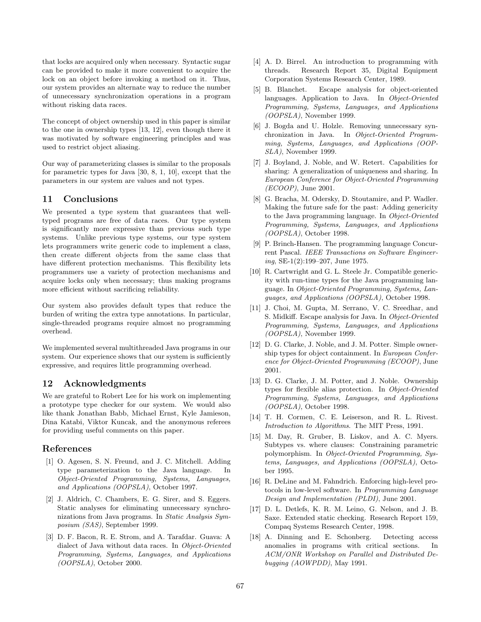that locks are acquired only when necessary. Syntactic sugar can be provided to make it more convenient to acquire the lock on an object before invoking a method on it. Thus, our system provides an alternate way to reduce the number of unnecessary synchronization operations in a program without risking data races.

The concept of object ownership used in this paper is similar to the one in ownership types [13, 12], even though there it was motivated by software engineering principles and was used to restrict object aliasing.

Our way of parameterizing classes is similar to the proposals for parametric types for Java [30, 8, 1, 10], except that the parameters in our system are values and not types.

### 11 Conclusions

We presented a type system that guarantees that welltyped programs are free of data races. Our type system is significantly more expressive than previous such type systems. Unlike previous type systems, our type system lets programmers write generic code to implement a class, then create different objects from the same class that have different protection mechanisms. This flexibility lets programmers use a variety of protection mechanisms and acquire locks only when necessary; thus making programs more efficient without sacrificing reliability.

Our system also provides default types that reduce the burden of writing the extra type annotations. In particular, single-threaded programs require almost no programming overhead.

We implemented several multithreaded Java programs in our system. Our experience shows that our system is sufficiently expressive, and requires little programming overhead.

### 12 Acknowledgments

We are grateful to Robert Lee for his work on implementing a prototype type checker for our system. We would also like thank Jonathan Babb, Michael Ernst, Kyle Jamieson, Dina Katabi, Viktor Kuncak, and the anonymous referees for providing useful comments on this paper.

### References

- [1] O. Agesen, S. N. Freund, and J. C. Mitchell. Adding type parameterization to the Java language. In Object-Oriented Programming, Systems, Languages, and Applications (OOPSLA), October 1997.
- [2] J. Aldrich, C. Chambers, E. G. Sirer, and S. Eggers. Static analyses for eliminating unnecessary synchronizations from Java programs. In Static Analysis Symposium (SAS), September 1999.
- [3] D. F. Bacon, R. E. Strom, and A. Tarafdar. Guava: A dialect of Java without data races. In Object-Oriented Programming, Systems, Languages, and Applications (OOPSLA), October 2000.
- [4] A. D. Birrel. An introduction to programming with threads. Research Report 35, Digital Equipment Corporation Systems Research Center, 1989.
- [5] B. Blanchet. Escape analysis for object-oriented languages. Application to Java. In Object-Oriented Programming, Systems, Languages, and Applications (OOPSLA), November 1999.
- [6] J. Bogda and U. Holzle. Removing unnecessary synchronization in Java. In Object-Oriented Programming, Systems, Languages, and Applications (OOP-SLA), November 1999.
- [7] J. Boyland, J. Noble, and W. Retert. Capabilities for sharing: A generalization of uniqueness and sharing. In European Conference for Object-Oriented Programming (ECOOP), June 2001.
- [8] G. Bracha, M. Odersky, D. Stoutamire, and P. Wadler. Making the future safe for the past: Adding genericity to the Java programming language. In Object-Oriented Programming, Systems, Languages, and Applications (OOPSLA), October 1998.
- [9] P. Brinch-Hansen. The programming language Concurrent Pascal. IEEE Transactions on Software Engineering, SE-1(2):199–207, June 1975.
- [10] R. Cartwright and G. L. Steele Jr. Compatible genericity with run-time types for the Java programming language. In Object-Oriented Programming, Systems, Languages, and Applications (OOPSLA), October 1998.
- [11] J. Choi, M. Gupta, M. Serrano, V. C. Sreedhar, and S. Midkiff. Escape analysis for Java. In Object-Oriented Programming, Systems, Languages, and Applications (OOPSLA), November 1999.
- [12] D. G. Clarke, J. Noble, and J. M. Potter. Simple ownership types for object containment. In European Conference for Object-Oriented Programming (ECOOP), June 2001.
- [13] D. G. Clarke, J. M. Potter, and J. Noble. Ownership types for flexible alias protection. In Object-Oriented Programming, Systems, Languages, and Applications (OOPSLA), October 1998.
- [14] T. H. Cormen, C. E. Leiserson, and R. L. Rivest. Introduction to Algorithms. The MIT Press, 1991.
- [15] M. Day, R. Gruber, B. Liskov, and A. C. Myers. Subtypes vs. where clauses: Constraining parametric polymorphism. In Object-Oriented Programming, Systems, Languages, and Applications (OOPSLA), October 1995.
- [16] R. DeLine and M. Fahndrich. Enforcing high-level protocols in low-level software. In Programming Language Design and Implementation (PLDI), June 2001.
- [17] D. L. Detlefs, K. R. M. Leino, G. Nelson, and J. B. Saxe. Extended static checking. Research Report 159, Compaq Systems Research Center, 1998.
- [18] A. Dinning and E. Schonberg. Detecting access anomalies in programs with critical sections. In ACM/ONR Workshop on Parallel and Distributed Debugging (AOWPDD), May 1991.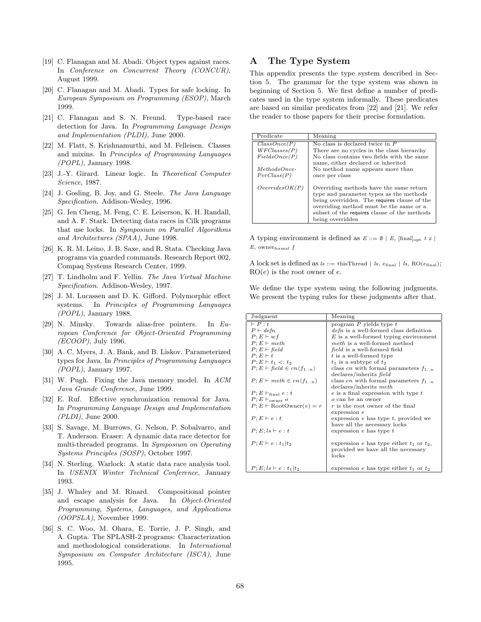- [19] C. Flanagan and M. Abadi. Object types against races. In Conference on Concurrent Theory (CONCUR), August 1999.
- [20] C. Flanagan and M. Abadi. Types for safe locking. In European Symposium on Programming (ESOP), March 1999.
- [21] C. Flanagan and S. N. Freund. Type-based race detection for Java. In Programming Language Design and Implementation (PLDI), June 2000.
- [22] M. Flatt, S. Krishnamurthi, and M. Felleisen. Classes and mixins. In Principles of Programming Languages (POPL), January 1998.
- [23] J.-Y. Girard. Linear logic. In Theoretical Computer Science, 1987.
- [24] J. Gosling, B. Joy, and G. Steele. The Java Language Specification. Addison-Wesley, 1996.
- [25] G. Ien Cheng, M. Feng, C. E. Leiserson, K. H. Randall, and A. F. Stark. Detecting data races in Cilk programs that use locks. In Symposium on Parallel Algorithms and Architectures (SPAA), June 1998.
- [26] K. R. M. Leino, J. B. Saxe, and R. Stata. Checking Java programs via guarded commands. Research Report 002, Compaq Systems Research Center, 1999.
- [27] T. Lindholm and F. Yellin. The Java Virtual Machine Specification. Addison-Wesley, 1997.
- [28] J. M. Lucassen and D. K. Gifford. Polymorphic effect systems. In Principles of Programming Languages (POPL), January 1988.
- [29] N. Minsky. Towards alias-free pointers. In European Conference for Object-Oriented Programming (ECOOP), July 1996.
- [30] A. C. Myers, J. A. Bank, and B. Liskov. Parameterized types for Java. In Principles of Programming Languages (POPL), January 1997.
- [31] W. Pugh. Fixing the Java memory model. In ACM Java Grande Conference, June 1999.
- [32] E. Ruf. Effective synchronization removal for Java. In Programming Language Design and Implementation (PLDI), June 2000.
- [33] S. Savage, M. Burrows, G. Nelson, P. Sobalvarro, and T. Anderson. Eraser: A dynamic data race detector for multi-threaded programs. In Symposium on Operating Systems Principles (SOSP), October 1997.
- [34] N. Sterling. Warlock: A static data race analysis tool. In USENIX Winter Technical Conference, January 1993.
- [35] J. Whaley and M. Rinard. Compositional pointer and escape analysis for Java. In Object-Oriented Programming, Systems, Languages, and Applications (OOPSLA), November 1999.
- [36] S. C. Woo, M. Ohara, E. Torrie, J. P. Singh, and A. Gupta. The SPLASH-2 programs: Characterization and methodological considerations. In International Symposium on Computer Architecture (ISCA), June 1995.

# A The Type System

This appendix presents the type system described in Section 5. The grammar for the type system was shown in beginning of Section 5. We first define a number of predicates used in the type system informally. These predicates are based on similar predicates from [22] and [21]. We refer the reader to those papers for their precise formulation.

| Predicate       | Meaning                                      |
|-----------------|----------------------------------------------|
| ClassOnce(P)    | No class is declared twice in $P$            |
| WFC losses(P)   | There are no cycles in the class hierarchy   |
| FieldsOnce(P)   | No class contains two fields with the same   |
|                 | name, either declared or inherited           |
| $MethodsOnce$ - | No method name appears more than             |
| PerClass(P)     | once per class                               |
|                 |                                              |
| OverridesOK(P)  | Overriding methods have the same return      |
|                 | type and parameter types as the methods      |
|                 | being overridden. The requires clause of the |
|                 | overriding method must be the same or a      |
|                 | subset of the requires clause of the methods |
|                 | being overridden                             |

A typing environment is defined as  $E ::= \emptyset | E$ , [final]<sub>opt</sub> t x |  $E$ , owner $_{\text{formal}}$   $f$ 

A lock set is defined as  $ls ::=$  thisThread | ls,  $e_{final}$  | ls,  $RO(e_{final})$ ;  $RO(e)$  is the root owner of e.

We define the type system using the following judgments. We present the typing rules for these judgments after that.

| Judgment                                         | Meaning                                       |
|--------------------------------------------------|-----------------------------------------------|
| $\vdash P : t$                                   | program $P$ yields type $t$                   |
| $P \vdash \text{def} n$                          | $defn$ is a well-formed class definition      |
| $P: E \vdash w f$                                | $E$ is a well-formed typing environment       |
| $P; E \vdash meth$                               | <i>meth</i> is a well-formed method           |
| $P: E \vdash \mathit{field}$                     | field is a well-formed field                  |
| $P: E \vdash t$                                  | t is a well-formed type                       |
| $P: E \vdash t_1 \prec t_2$                      | $t_1$ is a subtype of $t_2$                   |
| $P; E \vdash \text{field} \in \text{cn}(f_{1n})$ | class cn with formal parameters $f_{1n}$      |
|                                                  | declares/inherits field                       |
| $P; E \vdash meth \in cn \langle f_{1n} \rangle$ | class cn with formal parameters $f_{1n}$      |
|                                                  | declares/inherits meth                        |
| $P; E \vdash_{\text{final}} e : t$               | $e$ is a final expression with type $t$       |
| $P: E \vdash_{\text{owner}} o$                   | $\alpha$ can be an owner                      |
| $P; E \vdash \text{RootOwner}(e) = r$            | $r$ is the root owner of the final            |
|                                                  | expression e                                  |
| $P: E \vdash e : t$                              | expression $e$ has type $t$ , provided we     |
|                                                  | have all the necessary locks                  |
| $P: E: Is \vdash e : t$                          | expression $e$ has type $t$                   |
|                                                  |                                               |
| $P; E \vdash e : t_1   t_2$                      | expression e has type either $t_1$ or $t_2$ , |
|                                                  | provided we have all the necessary            |
|                                                  | locks                                         |
|                                                  |                                               |
| $P; E; ls \vdash e : t_1   t_2$                  | expression e has type either $t_1$ or $t_2$   |